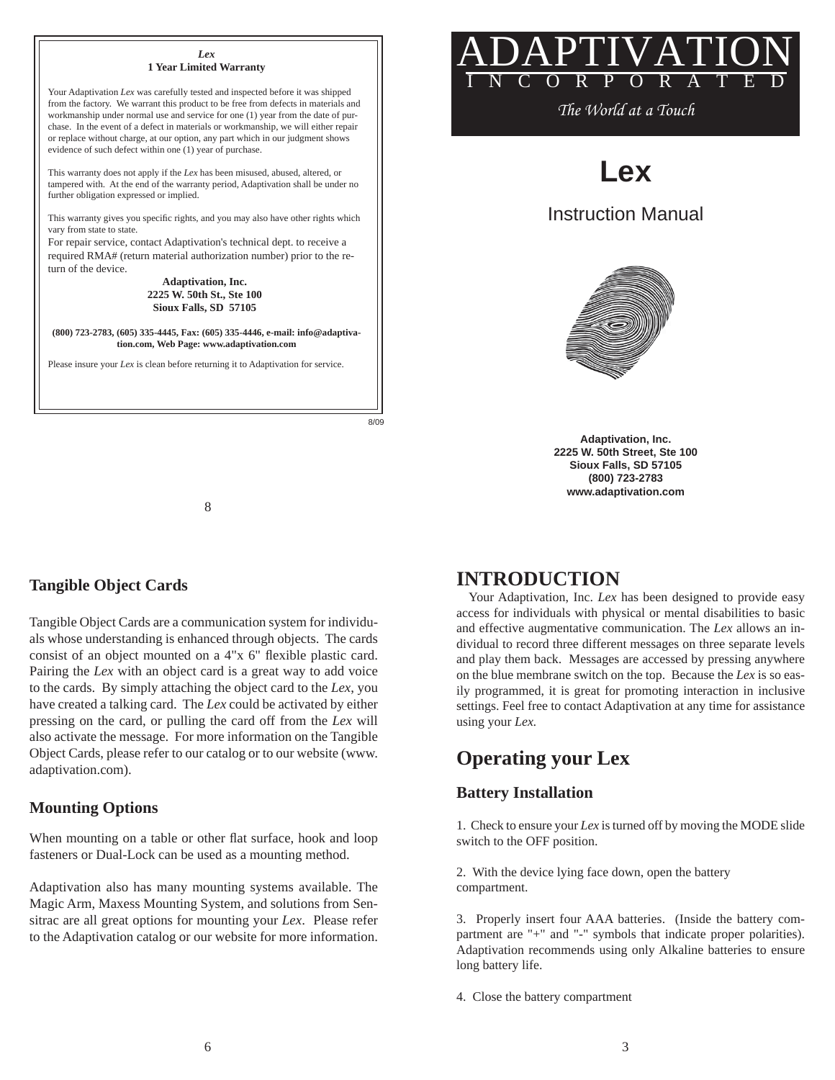

8/09



*The World at a Touch*

**Lex**

Instruction Manual



**Adaptivation, Inc. 2225 W. 50th Street, Ste 100 Sioux Falls, SD 57105 (800) 723-2783 www.adaptivation.com**

# **Tangible Object Cards**

Tangible Object Cards are a communication system for individuals whose understanding is enhanced through objects. The cards consist of an object mounted on a 4"x 6" flexible plastic card. Pairing the *Lex* with an object card is a great way to add voice to the cards. By simply attaching the object card to the *Lex*, you have created a talking card. The *Lex* could be activated by either pressing on the card, or pulling the card off from the *Lex* will also activate the message. For more information on the Tangible Object Cards, please refer to our catalog or to our website (www. adaptivation.com).

8

### **Mounting Options**

When mounting on a table or other flat surface, hook and loop fasteners or Dual-Lock can be used as a mounting method.

Adaptivation also has many mounting systems available. The Magic Arm, Maxess Mounting System, and solutions from Sensitrac are all great options for mounting your *Lex*. Please refer to the Adaptivation catalog or our website for more information.

# **INTRODUCTION**

Your Adaptivation, Inc. *Lex* has been designed to provide easy access for individuals with physical or mental disabilities to basic and effective augmentative communication. The *Lex* allows an individual to record three different messages on three separate levels and play them back. Messages are accessed by pressing anywhere on the blue membrane switch on the top. Because the *Lex* is so easily programmed, it is great for promoting interaction in inclusive settings. Feel free to contact Adaptivation at any time for assistance using your *Lex.*

# **Operating your Lex**

# **Battery Installation**

1. Check to ensure your *Lex* is turned off by moving the MODE slide switch to the OFF position.

2. With the device lying face down, open the battery compartment.

3. Properly insert four AAA batteries. (Inside the battery compartment are "+" and "-" symbols that indicate proper polarities). Adaptivation recommends using only Alkaline batteries to ensure long battery life.

4. Close the battery compartment